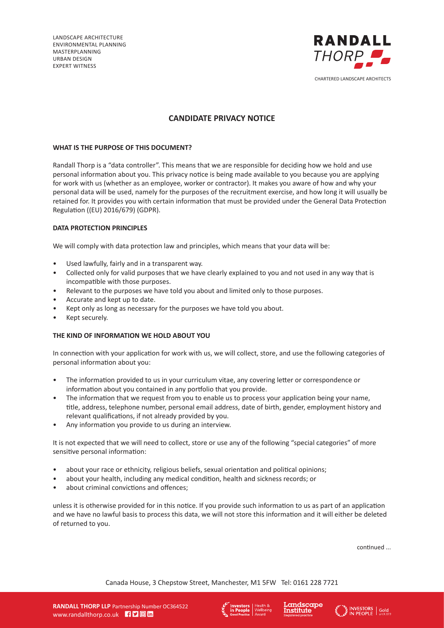LANDSCAPE ARCHITECTURE ENVIRONMENTAL PLANNING MASTERPLANNING URBAN DESIGN EXPERT WITNESS



# **CANDIDATE PRIVACY NOTICE**

## **WHAT IS THE PURPOSE OF THIS DOCUMENT?**

Randall Thorp is a "data controller". This means that we are responsible for deciding how we hold and use personal information about you. This privacy notice is being made available to you because you are applying for work with us (whether as an employee, worker or contractor). It makes you aware of how and why your personal data will be used, namely for the purposes of the recruitment exercise, and how long it will usually be retained for. It provides you with certain information that must be provided under the General Data Protection Regulation ((EU) 2016/679) (GDPR).

# **DATA PROTECTION PRINCIPLES**

We will comply with data protection law and principles, which means that your data will be:

- Used lawfully, fairly and in a transparent way.
- Collected only for valid purposes that we have clearly explained to you and not used in any way that is incompatible with those purposes.
- Relevant to the purposes we have told you about and limited only to those purposes.
- Accurate and kept up to date.
- Kept only as long as necessary for the purposes we have told you about.
- Kept securely.

#### **THE KIND OF INFORMATION WE HOLD ABOUT YOU**

In connection with your application for work with us, we will collect, store, and use the following categories of personal information about you:

- The information provided to us in your curriculum vitae, any covering letter or correspondence or information about you contained in any portfolio that you provide.
- The information that we request from you to enable us to process your application being your name, title, address, telephone number, personal email address, date of birth, gender, employment history and relevant qualifications, if not already provided by you.
- Any information you provide to us during an interview.

It is not expected that we will need to collect, store or use any of the following "special categories" of more sensitive personal information:

- about your race or ethnicity, religious beliefs, sexual orientation and political opinions;
- about your health, including any medical condition, health and sickness records; or
- about criminal convictions and offences:

unless it is otherwise provided for in this notice. If you provide such information to us as part of an application and we have no lawful basis to process this data, we will not store this information and it will either be deleted of returned to you.

continued ...





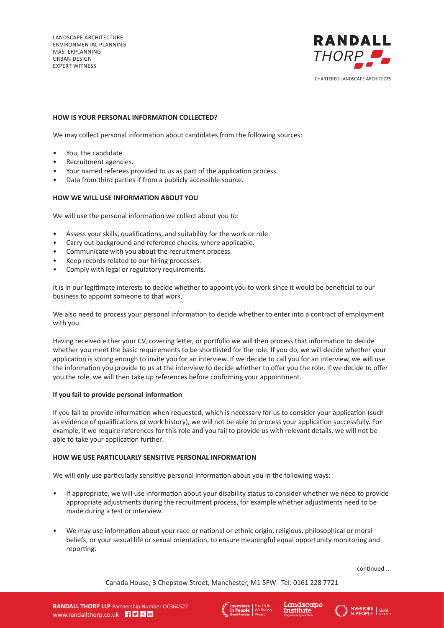

# **HOW IS YOUR PERSONAL INFORMATION COLLECTED?**

We may collect personal information about candidates from the following sources:

- You, the candidate.
- Recruitment agencies.
- Your named referees provided to us as part of the application process.
- Data from third parties if from a publicly accessible source.

# **HOW WE WILL USE INFORMATION ABOUT YOU**

We will use the personal information we collect about you to:

- Assess your skills, qualifications, and suitability for the work or role.
- Carry out background and reference checks, where applicable.
- Communicate with you about the recruitment process.
- Keep records related to our hiring processes.
- Comply with legal or regulatory requirements.

It is in our legitimate interests to decide whether to appoint you to work since it would be beneficial to our business to appoint someone to that work.

We also need to process your personal information to decide whether to enter into a contract of employment with you.

Having received either your CV, covering letter, or portfolio we will then process that information to decide whether you meet the basic requirements to be shortlisted for the role. If you do, we will decide whether your application is strong enough to invite you for an interview. If we decide to call you for an interview, we will use the information you provide to us at the interview to decide whether to offer you the role. If we decide to offer you the role, we will then take up references before confirming your appointment.

#### **If you fail to provide personal information**

If you fail to provide information when requested, which is necessary for us to consider your application (such as evidence of qualifications or work history), we will not be able to process your application successfully. For example, if we require references for this role and you fail to provide us with relevant details, we will not be able to take your application further.

#### **HOW WE USE PARTICULARLY SENSITIVE PERSONAL INFORMATION**

We will only use particularly sensitive personal information about you in the following ways:

- If appropriate, we will use information about your disability status to consider whether we need to provide appropriate adjustments during the recruitment process, for example whether adjustments need to be made during a test or interview.
- We may use information about your race or national or ethnic origin, religious, philosophical or moral beliefs, or your sexual life or sexual orientation, to ensure meaningful equal opportunity monitoring and reporting.

continued ...





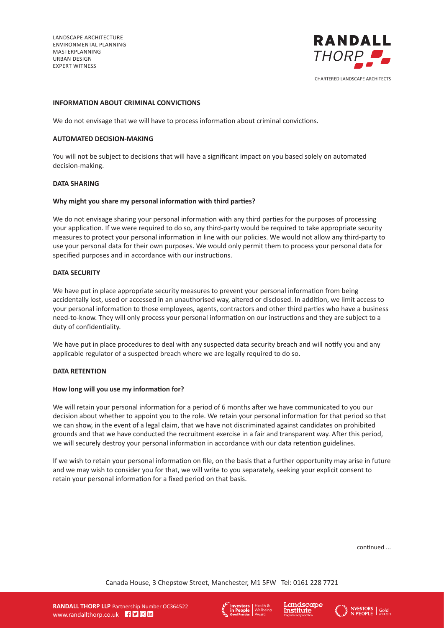LANDSCAPE ARCHITECTURE ENVIRONMENTAL PLANNING MASTERPLANNING URBAN DESIGN EXPERT WITNESS



## **INFORMATION ABOUT CRIMINAL CONVICTIONS**

We do not envisage that we will have to process information about criminal convictions.

#### **AUTOMATED DECISION-MAKING**

You will not be subject to decisions that will have a significant impact on you based solely on automated decision-making.

#### **DATA SHARING**

## **Why might you share my personal information with third parties?**

We do not envisage sharing your personal information with any third parties for the purposes of processing your application. If we were required to do so, any third-party would be required to take appropriate security measures to protect your personal information in line with our policies. We would not allow any third-party to use your personal data for their own purposes. We would only permit them to process your personal data for specified purposes and in accordance with our instructions.

## **DATA SECURITY**

We have put in place appropriate security measures to prevent your personal information from being accidentally lost, used or accessed in an unauthorised way, altered or disclosed. In addition, we limit access to your personal information to those employees, agents, contractors and other third parties who have a business need-to-know. They will only process your personal information on our instructions and they are subject to a duty of confidentiality.

We have put in place procedures to deal with any suspected data security breach and will notify you and any applicable regulator of a suspected breach where we are legally required to do so.

## **DATA RETENTION**

#### **How long will you use my information for?**

We will retain your personal information for a period of 6 months after we have communicated to you our decision about whether to appoint you to the role. We retain your personal information for that period so that we can show, in the event of a legal claim, that we have not discriminated against candidates on prohibited grounds and that we have conducted the recruitment exercise in a fair and transparent way. After this period, we will securely destroy your personal information in accordance with our data retention guidelines.

If we wish to retain your personal information on file, on the basis that a further opportunity may arise in future and we may wish to consider you for that, we will write to you separately, seeking your explicit consent to retain your personal information for a fixed period on that basis.

continued ...